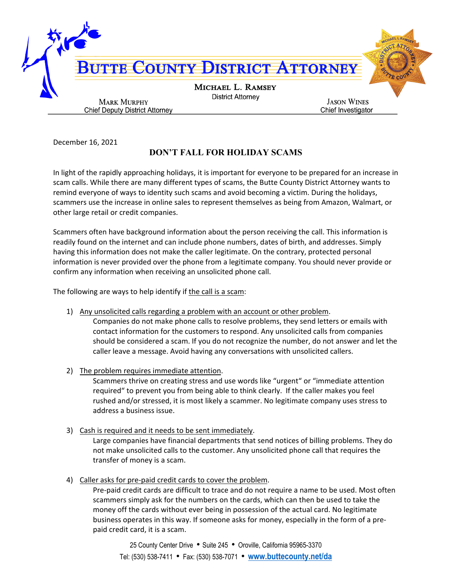

December 16, 2021

## **DON'T FALL FOR HOLIDAY SCAMS**

In light of the rapidly approaching holidays, it is important for everyone to be prepared for an increase in scam calls. While there are many different types of scams, the Butte County District Attorney wants to remind everyone of ways to identity such scams and avoid becoming a victim. During the holidays, scammers use the increase in online sales to represent themselves as being from Amazon, Walmart, or other large retail or credit companies.

Scammers often have background information about the person receiving the call. This information is readily found on the internet and can include phone numbers, dates of birth, and addresses. Simply having this information does not make the caller legitimate. On the contrary, protected personal information is never provided over the phone from a legitimate company. You should never provide or confirm any information when receiving an unsolicited phone call.

The following are ways to help identify if the call is a scam:

1) Any unsolicited calls regarding a problem with an account or other problem.

Companies do not make phone calls to resolve problems, they send letters or emails with contact information for the customers to respond. Any unsolicited calls from companies should be considered a scam. If you do not recognize the number, do not answer and let the caller leave a message. Avoid having any conversations with unsolicited callers.

2) The problem requires immediate attention.

Scammers thrive on creating stress and use words like "urgent" or "immediate attention required" to prevent you from being able to think clearly. If the caller makes you feel rushed and/or stressed, it is most likely a scammer. No legitimate company uses stress to address a business issue.

3) Cash is required and it needs to be sent immediately.

Large companies have financial departments that send notices of billing problems. They do not make unsolicited calls to the customer. Any unsolicited phone call that requires the transfer of money is a scam.

4) Caller asks for pre-paid credit cards to cover the problem.

Pre-paid credit cards are difficult to trace and do not require a name to be used. Most often scammers simply ask for the numbers on the cards, which can then be used to take the money off the cards without ever being in possession of the actual card. No legitimate business operates in this way. If someone asks for money, especially in the form of a prepaid credit card, it is a scam.

25 County Center Drive • Suite 245 • Oroville, California 95965-3370 Tel: (530) 538-7411 • Fax: (530) 538-7071 • **[www.buttecounty.net/da](http://www.buttecounty.net/da)**